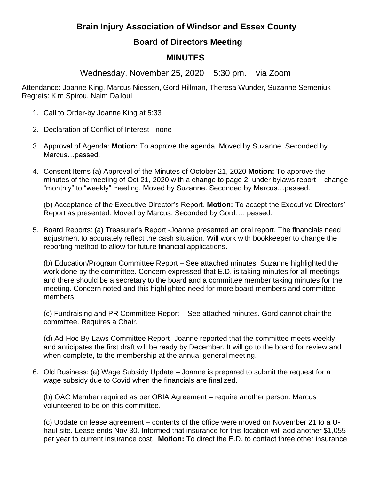## **Brain Injury Association of Windsor and Essex County**

## **Board of Directors Meeting**

## **MINUTES**

Wednesday, November 25, 2020 5:30 pm. via Zoom

Attendance: Joanne King, Marcus Niessen, Gord Hillman, Theresa Wunder, Suzanne Semeniuk Regrets: Kim Spirou, Naim Dalloul

- 1. Call to Order-by Joanne King at 5:33
- 2. Declaration of Conflict of Interest none
- 3. Approval of Agenda: **Motion:** To approve the agenda. Moved by Suzanne. Seconded by Marcus…passed.
- 4. Consent Items (a) Approval of the Minutes of October 21, 2020 **Motion:** To approve the minutes of the meeting of Oct 21, 2020 with a change to page 2, under bylaws report – change "monthly" to "weekly" meeting. Moved by Suzanne. Seconded by Marcus…passed.

(b) Acceptance of the Executive Director's Report. **Motion:** To accept the Executive Directors' Report as presented. Moved by Marcus. Seconded by Gord…. passed.

5. Board Reports: (a) Treasurer's Report -Joanne presented an oral report. The financials need adjustment to accurately reflect the cash situation. Will work with bookkeeper to change the reporting method to allow for future financial applications.

(b) Education/Program Committee Report – See attached minutes. Suzanne highlighted the work done by the committee. Concern expressed that E.D. is taking minutes for all meetings and there should be a secretary to the board and a committee member taking minutes for the meeting. Concern noted and this highlighted need for more board members and committee members.

(c) Fundraising and PR Committee Report – See attached minutes. Gord cannot chair the committee. Requires a Chair.

(d) Ad-Hoc By-Laws Committee Report- Joanne reported that the committee meets weekly and anticipates the first draft will be ready by December. It will go to the board for review and when complete, to the membership at the annual general meeting.

6. Old Business: (a) Wage Subsidy Update – Joanne is prepared to submit the request for a wage subsidy due to Covid when the financials are finalized.

(b) OAC Member required as per OBIA Agreement – require another person. Marcus volunteered to be on this committee.

(c) Update on lease agreement – contents of the office were moved on November 21 to a Uhaul site. Lease ends Nov 30. Informed that insurance for this location will add another \$1,055 per year to current insurance cost. **Motion:** To direct the E.D. to contact three other insurance